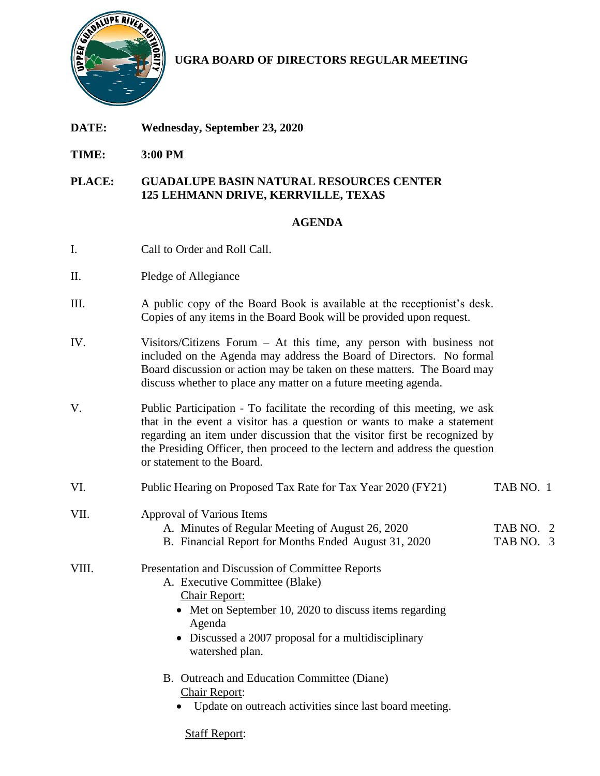

**UGRA BOARD OF DIRECTORS REGULAR MEETING**

- **DATE: Wednesday, September 23, 2020**
- **TIME: 3:00 PM**

## **PLACE: GUADALUPE BASIN NATURAL RESOURCES CENTER 125 LEHMANN DRIVE, KERRVILLE, TEXAS**

## **AGENDA**

- I. Call to Order and Roll Call.
- II. Pledge of Allegiance
- III. A public copy of the Board Book is available at the receptionist's desk. Copies of any items in the Board Book will be provided upon request.
- IV. Visitors/Citizens Forum At this time, any person with business not included on the Agenda may address the Board of Directors. No formal Board discussion or action may be taken on these matters. The Board may discuss whether to place any matter on a future meeting agenda.
- V. Public Participation To facilitate the recording of this meeting, we ask that in the event a visitor has a question or wants to make a statement regarding an item under discussion that the visitor first be recognized by the Presiding Officer, then proceed to the lectern and address the question or statement to the Board.

| VI.   | Public Hearing on Proposed Tax Rate for Tax Year 2020 (FY21)                                                                                                                                                                                             | TAB NO. 1              |
|-------|----------------------------------------------------------------------------------------------------------------------------------------------------------------------------------------------------------------------------------------------------------|------------------------|
| VII.  | Approval of Various Items<br>A. Minutes of Regular Meeting of August 26, 2020<br>B. Financial Report for Months Ended August 31, 2020                                                                                                                    | TAB NO. 2<br>TAB NO. 3 |
| VIII. | Presentation and Discussion of Committee Reports<br>A. Executive Committee (Blake)<br><b>Chair Report:</b><br>• Met on September 10, 2020 to discuss items regarding<br>Agenda<br>• Discussed a 2007 proposal for a multidisciplinary<br>watershed plan. |                        |
|       | B. Outreach and Education Committee (Diane)<br><b>Chair Report:</b><br>Update on outreach activities since last board meeting.                                                                                                                           |                        |

Staff Report: